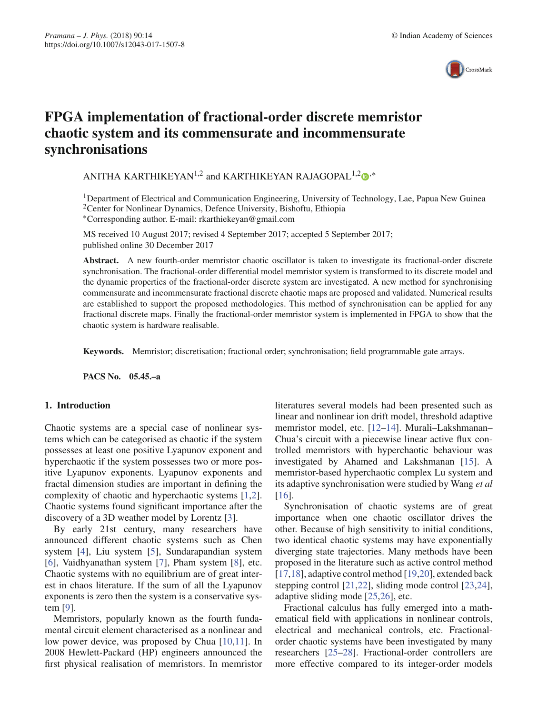

# **FPGA implementation of fractional-order discrete memristor chaotic system and its commensurate and incommensurate synchronisations**

ANITHA KARTHIKEYAN<sup>1,2</sup> and KARTHIKEYAN RAJAGOPAL<sup>1,2</sup>  $\bullet$ <sup>,\*</sup>

<sup>1</sup>Department of Electrical and Communication Engineering, University of Technology, Lae, Papua New Guinea <sup>2</sup>Center for Nonlinear Dynamics, Defence University, Bishoftu, Ethiopia ∗Corresponding author. E-mail: rkarthiekeyan@gmail.com

MS received 10 August 2017; revised 4 September 2017; accepted 5 September 2017; published online 30 December 2017

**Abstract.** A new fourth-order memristor chaotic oscillator is taken to investigate its fractional-order discrete synchronisation. The fractional-order differential model memristor system is transformed to its discrete model and the dynamic properties of the fractional-order discrete system are investigated. A new method for synchronising commensurate and incommensurate fractional discrete chaotic maps are proposed and validated. Numerical results are established to support the proposed methodologies. This method of synchronisation can be applied for any fractional discrete maps. Finally the fractional-order memristor system is implemented in FPGA to show that the chaotic system is hardware realisable.

**Keywords.** Memristor; discretisation; fractional order; synchronisation; field programmable gate arrays.

**PACS No. 05.45.–a**

## **1. Introduction**

Chaotic systems are a special case of nonlinear systems which can be categorised as chaotic if the system possesses at least one positive Lyapunov exponent and hyperchaotic if the system possesses two or more positive Lyapunov exponents. Lyapunov exponents and fractal dimension studies are important in defining the complexity of chaotic and hyperchaotic systems [1,2]. Chaotic systems found significant importance after the discovery of a 3D weather model by Lorentz [3].

By early 21st century, many researchers have announced different chaotic systems such as Chen system [4], Liu system [5], Sundarapandian system [6], Vaidhyanathan system [7], Pham system [8], etc. Chaotic systems with no equilibrium are of great interest in chaos literature. If the sum of all the Lyapunov exponents is zero then the system is a conservative system [9].

Memristors, popularly known as the fourth fundamental circuit element characterised as a nonlinear and low power device, was proposed by Chua [10,11]. In 2008 Hewlett-Packard (HP) engineers announced the first physical realisation of memristors. In memristor literatures several models had been presented such as linear and nonlinear ion drift model, threshold adaptive memristor model, etc. [12–14]. Murali–Lakshmanan– Chua's circuit with a piecewise linear active flux controlled memristors with hyperchaotic behaviour was investigated by Ahamed and Lakshmanan [15]. A memristor-based hyperchaotic complex Lu system and its adaptive synchronisation were studied by Wang *et al* [16].

Synchronisation of chaotic systems are of great importance when one chaotic oscillator drives the other. Because of high sensitivity to initial conditions, two identical chaotic systems may have exponentially diverging state trajectories. Many methods have been proposed in the literature such as active control method [17,18], adaptive control method [19,20], extended back stepping control [21,22], sliding mode control [23,24], adaptive sliding mode [25,26], etc.

Fractional calculus has fully emerged into a mathematical field with applications in nonlinear controls, electrical and mechanical controls, etc. Fractionalorder chaotic systems have been investigated by many researchers [25–28]. Fractional-order controllers are more effective compared to its integer-order models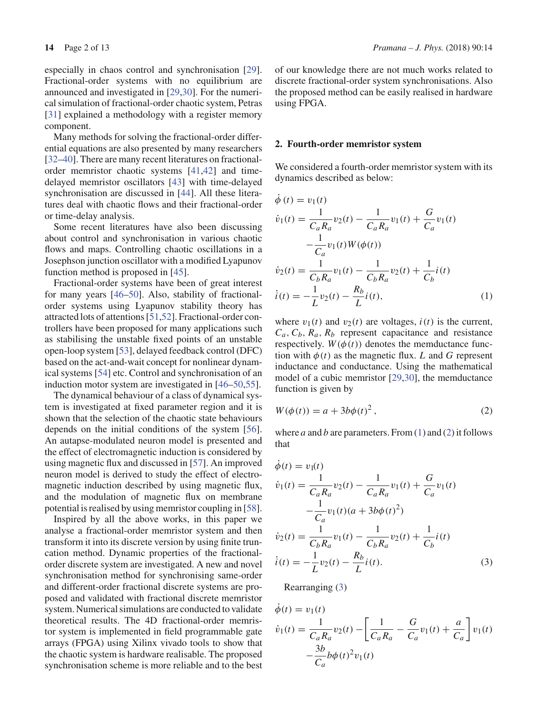especially in chaos control and synchronisation [29]. Fractional-order systems with no equilibrium are announced and investigated in [29,30]. For the numerical simulation of fractional-order chaotic system, Petras [31] explained a methodology with a register memory component.

Many methods for solving the fractional-order differential equations are also presented by many researchers [32–40]. There are many recent literatures on fractionalorder memristor chaotic systems [41,42] and timedelayed memristor oscillators [43] with time-delayed synchronisation are discussed in [44]. All these literatures deal with chaotic flows and their fractional-order or time-delay analysis.

Some recent literatures have also been discussing about control and synchronisation in various chaotic flows and maps. Controlling chaotic oscillations in a Josephson junction oscillator with a modified Lyapunov function method is proposed in [45].

Fractional-order systems have been of great interest for many years [46–50]. Also, stability of fractionalorder systems using Lyapunov stability theory has attracted lots of attentions [51,52]. Fractional-order controllers have been proposed for many applications such as stabilising the unstable fixed points of an unstable open-loop system [53], delayed feedback control (DFC) based on the act-and-wait concept for nonlinear dynamical systems [54] etc. Control and synchronisation of an induction motor system are investigated in [46–50,55].

The dynamical behaviour of a class of dynamical system is investigated at fixed parameter region and it is shown that the selection of the chaotic state behaviours depends on the initial conditions of the system [56]. An autapse-modulated neuron model is presented and the effect of electromagnetic induction is considered by using magnetic flux and discussed in [57]. An improved neuron model is derived to study the effect of electromagnetic induction described by using magnetic flux, and the modulation of magnetic flux on membrane potential is realised by using memristor coupling in [58].

Inspired by all the above works, in this paper we analyse a fractional-order memristor system and then transform it into its discrete version by using finite truncation method. Dynamic properties of the fractionalorder discrete system are investigated. A new and novel synchronisation method for synchronising same-order and different-order fractional discrete systems are proposed and validated with fractional discrete memristor system. Numerical simulations are conducted to validate theoretical results. The 4D fractional-order memristor system is implemented in field programmable gate arrays (FPGA) using Xilinx vivado tools to show that the chaotic system is hardware realisable. The proposed synchronisation scheme is more reliable and to the best of our knowledge there are not much works related to discrete fractional-order system synchronisations. Also the proposed method can be easily realised in hardware using FPGA.

#### **2. Fourth-order memristor system**

We considered a fourth-order memristor system with its dynamics described as below:

$$
\phi(t) = v_1(t)
$$
  
\n
$$
\dot{v}_1(t) = \frac{1}{C_a R_a} v_2(t) - \frac{1}{C_a R_a} v_1(t) + \frac{G}{C_a} v_1(t)
$$
  
\n
$$
-\frac{1}{C_a} v_1(t) W(\phi(t))
$$
  
\n
$$
\dot{v}_2(t) = \frac{1}{C_b R_a} v_1(t) - \frac{1}{C_b R_a} v_2(t) + \frac{1}{C_b} i(t)
$$
  
\n
$$
\dot{i}(t) = -\frac{1}{L} v_2(t) - \frac{R_b}{L} i(t),
$$
\n(1)

where  $v_1(t)$  and  $v_2(t)$  are voltages,  $i(t)$  is the current,  $C_a$ ,  $C_b$ ,  $R_a$ ,  $R_b$  represent capacitance and resistance respectively.  $W(\phi(t))$  denotes the memductance function with  $\phi(t)$  as the magnetic flux. *L* and *G* represent inductance and conductance. Using the mathematical model of a cubic memristor [29,30], the memductance function is given by

$$
W(\phi(t)) = a + 3b\phi(t)^2, \qquad (2)
$$

where *a* and *b* are parameters. From (1) and (2) it follows that

$$
\dot{\phi}(t) = v_1(t)
$$
\n
$$
\dot{v}_1(t) = \frac{1}{C_a R_a} v_2(t) - \frac{1}{C_a R_a} v_1(t) + \frac{G}{C_a} v_1(t)
$$
\n
$$
-\frac{1}{C_a} v_1(t) (a + 3b\phi(t)^2)
$$
\n
$$
\dot{v}_2(t) = \frac{1}{C_b R_a} v_1(t) - \frac{1}{C_b R_a} v_2(t) + \frac{1}{C_b} i(t)
$$
\n
$$
\dot{i}(t) = -\frac{1}{L} v_2(t) - \frac{R_b}{L} i(t).
$$
\n(3)

Rearranging (3)

$$
\dot{\phi}(t) = v_1(t) \n\dot{v}_1(t) = \frac{1}{C_a R_a} v_2(t) - \left[ \frac{1}{C_a R_a} - \frac{G}{C_a} v_1(t) + \frac{a}{C_a} \right] v_1(t) \n- \frac{3b}{C_a} b\phi(t)^2 v_1(t)
$$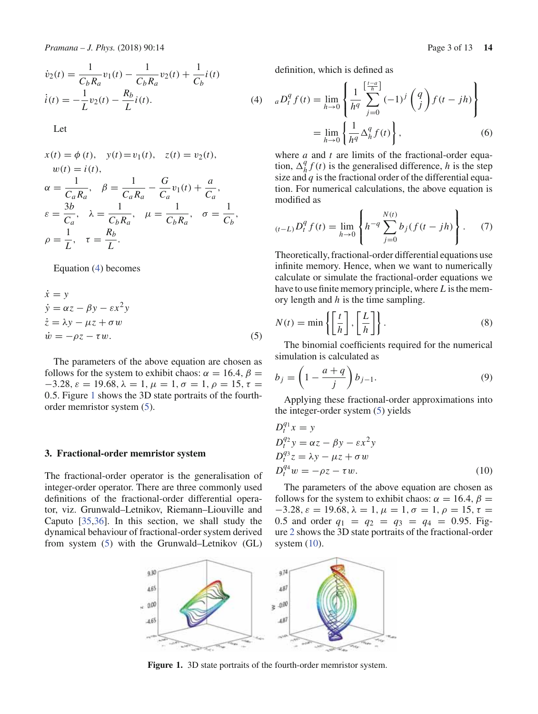$$
\dot{v}_2(t) = \frac{1}{C_b R_a} v_1(t) - \frac{1}{C_b R_a} v_2(t) + \frac{1}{C_b} i(t)
$$
\n
$$
\dot{i}(t) = -\frac{1}{L} v_2(t) - \frac{R_b}{L} i(t).
$$
\n(4)

Let

$$
x(t) = \phi(t), \quad y(t) = v_1(t), \quad z(t) = v_2(t),
$$
  
\n
$$
w(t) = i(t),
$$
  
\n
$$
\alpha = \frac{1}{C_a R_a}, \quad \beta = \frac{1}{C_a R_a} - \frac{G}{C_a} v_1(t) + \frac{a}{C_a},
$$
  
\n
$$
\varepsilon = \frac{3b}{C_a}, \quad \lambda = \frac{1}{C_b R_a}, \quad \mu = \frac{1}{C_b R_a}, \quad \sigma = \frac{1}{C_b},
$$
  
\n
$$
\rho = \frac{1}{L}, \quad \tau = \frac{R_b}{L}.
$$

Equation (4) becomes

$$
\begin{aligned}\n\dot{x} &= y\\ \n\dot{y} &= \alpha z - \beta y - \varepsilon x^2 y\\ \n\dot{z} &= \lambda y - \mu z + \sigma w\\ \n\dot{w} &= -\rho z - \tau w.\n\end{aligned} \tag{5}
$$

The parameters of the above equation are chosen as follows for the system to exhibit chaos:  $\alpha = 16.4$ ,  $\beta =$  $-3.28$ ,  $\varepsilon = 19.68$ ,  $\lambda = 1$ ,  $\mu = 1$ ,  $\sigma = 1$ ,  $\rho = 15$ ,  $\tau =$ 0.5. Figure 1 shows the 3D state portraits of the fourthorder memristor system (5).

#### **3. Fractional-order memristor system**

The fractional-order operator is the generalisation of integer-order operator. There are three commonly used definitions of the fractional-order differential operator, viz. Grunwald–Letnikov, Riemann–Liouville and Caputo [35,36]. In this section, we shall study the dynamical behaviour of fractional-order system derived from system (5) with the Grunwald–Letnikov (GL) definition, which is defined as

$$
{}_{a}D_{t}^{q} f(t) = \lim_{h \to 0} \left\{ \frac{1}{h^{q}} \sum_{j=0}^{\left[\frac{t-a}{h}\right]} (-1)^{j} \binom{q}{j} f(t-jh) \right\}
$$

$$
= \lim_{h \to 0} \left\{ \frac{1}{h^{q}} \Delta_{h}^{q} f(t) \right\},
$$
(6)

where *a* and *t* are limits of the fractional-order equation,  $\Delta_h^q f(t)$  is the generalised difference, *h* is the step size and *q* is the fractional order of the differential equation. For numerical calculations, the above equation is modified as

$$
{}_{(t-L)}D_t^q f(t) = \lim_{h \to 0} \left\{ h^{-q} \sum_{j=0}^{N(t)} b_j (f(t-jh)) \right\}.
$$
 (7)

Theoretically, fractional-order differential equations use infinite memory. Hence, when we want to numerically calculate or simulate the fractional-order equations we have to use finite memory principle, where *L* is the memory length and *h* is the time sampling.

$$
N(t) = \min\left\{ \left[ \frac{t}{h} \right], \left[ \frac{L}{h} \right] \right\}.
$$
 (8)

The binomial coefficients required for the numerical simulation is calculated as

$$
b_j = \left(1 - \frac{a+q}{j}\right) b_{j-1}.\tag{9}
$$

Applying these fractional-order approximations into the integer-order system (5) yields

$$
D_t^{q_1} x = y
$$
  
\n
$$
D_t^{q_2} y = \alpha z - \beta y - \varepsilon x^2 y
$$
  
\n
$$
D_t^{q_3} z = \lambda y - \mu z + \sigma w
$$
  
\n
$$
D_t^{q_4} w = -\rho z - \tau w.
$$
\n(10)

The parameters of the above equation are chosen as follows for the system to exhibit chaos:  $\alpha = 16.4$ ,  $\beta =$  $-3.28, \varepsilon = 19.68, \lambda = 1, \mu = 1, \sigma = 1, \rho = 15, \tau =$ 0.5 and order  $q_1 = q_2 = q_3 = q_4 = 0.95$ . Figure 2 shows the 3D state portraits of the fractional-order system  $(10)$ .



**Figure 1.** 3D state portraits of the fourth-order memristor system.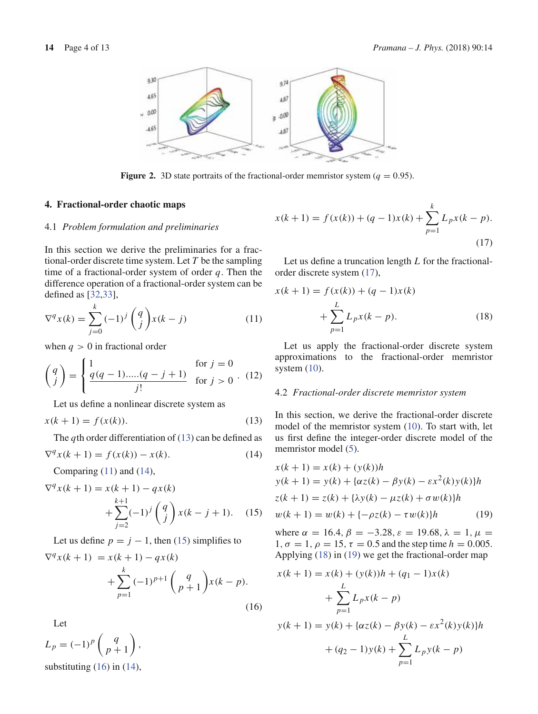

**Figure 2.** 3D state portraits of the fractional-order memristor system ( $q = 0.95$ ).

#### **4. Fractional-order chaotic maps**

### 4.1 *Problem formulation and preliminaries*

In this section we derive the preliminaries for a fractional-order discrete time system. Let *T* be the sampling time of a fractional-order system of order *q*. Then the difference operation of a fractional-order system can be defined as [32,33],

$$
\nabla^q x(k) = \sum_{j=0}^k (-1)^j \binom{q}{j} x(k-j)
$$
\n(11)

when  $q > 0$  in fractional order

$$
\begin{pmatrix} q \\ j \end{pmatrix} = \begin{cases} 1 & \text{for } j = 0 \\ \frac{q(q-1)\dots(q-j+1)}{j!} & \text{for } j > 0 \end{cases}
$$
 (12)

Let us define a nonlinear discrete system as

$$
x(k + 1) = f(x(k)).
$$
 (13)

The *q*th order differentiation of  $(13)$  can be defined as

$$
\nabla^q x(k+1) = f(x(k)) - x(k). \tag{14}
$$

Comparing  $(11)$  and  $(14)$ ,

$$
\nabla^{q} x(k+1) = x(k+1) - qx(k)
$$
  
 
$$
+ \sum_{j=2}^{k+1} (-1)^{j} \binom{q}{j} x(k-j+1). \quad (15)
$$

Let us define  $p = j - 1$ , then (15) simplifies to  $\nabla^q x(k+1) = x(k+1) - qx(k)$ *k*

$$
+\sum_{p=1}^{k}(-1)^{p+1}\binom{q}{p+1}x(k-p).
$$
\n(16)

Let

 $L_p = (-1)^p \left( \begin{array}{c} q \\ p \end{array} \right)$ *p* + 1  $\Big)$ , substituting  $(16)$  in  $(14)$ ,

$$
x(k+1) = f(x(k)) + (q-1)x(k) + \sum_{p=1}^{k} L_p x(k-p).
$$
\n(17)

Let us define a truncation length *L* for the fractionalorder discrete system (17),

$$
x(k + 1) = f(x(k)) + (q - 1)x(k)
$$
  
+ 
$$
\sum_{p=1}^{L} L_p x(k - p).
$$
 (18)

Let us apply the fractional-order discrete system approximations to the fractional-order memristor system  $(10)$ .

#### 4.2 *Fractional-order discrete memristor system*

In this section, we derive the fractional-order discrete model of the memristor system (10). To start with, let us first define the integer-order discrete model of the memristor model (5).

$$
x(k + 1) = x(k) + (y(k))h
$$
  
\n
$$
y(k + 1) = y(k) + \{\alpha z(k) - \beta y(k) - \varepsilon x^2(k)y(k)\}h
$$
  
\n
$$
z(k + 1) = z(k) + \{\lambda y(k) - \mu z(k) + \sigma w(k)\}h
$$
  
\n
$$
w(k + 1) = w(k) + \{-\rho z(k) - \tau w(k)\}h
$$
 (19)

where  $\alpha = 16.4$ ,  $\beta = -3.28$ ,  $\varepsilon = 19.68$ ,  $\lambda = 1$ ,  $\mu =$ 1,  $\sigma = 1$ ,  $\rho = 15$ ,  $\tau = 0.5$  and the step time  $h = 0.005$ . Applying (18) in (19) we get the fractional-order map

$$
x(k + 1) = x(k) + (y(k))h + (q_1 - 1)x(k)
$$
  
+ 
$$
\sum_{p=1}^{L} L_p x(k - p)
$$
  

$$
y(k + 1) = y(k) + {\alpha z(k) - \beta y(k) - \varepsilon x^2(k) y(k)}h
$$
  
+ 
$$
(q_2 - 1)y(k) + \sum_{p=1}^{L} L_p y(k - p)
$$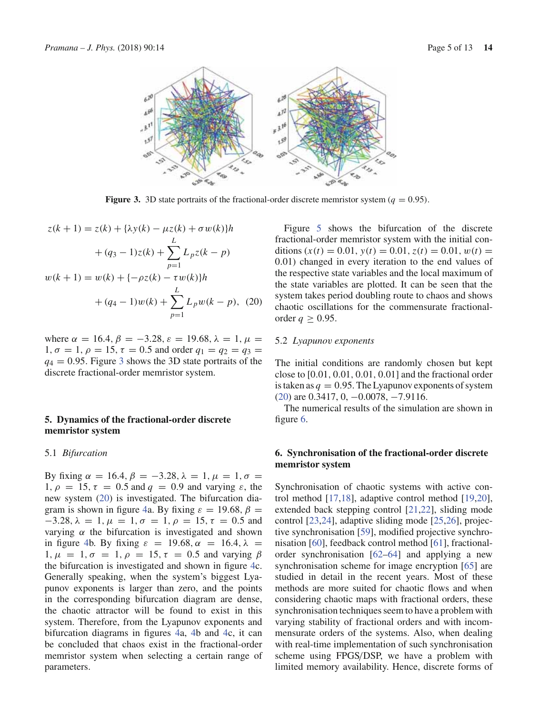

**Figure 3.** 3D state portraits of the fractional-order discrete memristor system ( $q = 0.95$ ).

$$
z(k + 1) = z(k) + {\lambda y(k) - \mu z(k) + \sigma w(k)}h
$$
  
+  $(q_3 - 1)z(k) + \sum_{p=1}^{L} L_p z(k - p)$   
 $w(k + 1) = w(k) + {-\rho z(k) - \tau w(k)}h$   
+  $(q_4 - 1)w(k) + \sum_{p=1}^{L} L_p w(k - p)$ , (20)

where  $\alpha = 16.4$ ,  $\beta = -3.28$ ,  $\varepsilon = 19.68$ ,  $\lambda = 1$ ,  $\mu =$ 1,  $\sigma = 1$ ,  $\rho = 15$ ,  $\tau = 0.5$  and order  $q_1 = q_2 = q_3 =$  $q_4 = 0.95$ . Figure 3 shows the 3D state portraits of the discrete fractional-order memristor system.

## **5. Dynamics of the fractional-order discrete memristor system**

#### 5.1 *Bifurcation*

By fixing  $\alpha = 16.4, \beta = -3.28, \lambda = 1, \mu = 1, \sigma =$ 1,  $\rho = 15$ ,  $\tau = 0.5$  and  $q = 0.9$  and varying  $\varepsilon$ , the new system (20) is investigated. The bifurcation diagram is shown in figure 4a. By fixing  $\varepsilon = 19.68$ ,  $\beta =$  $-3.28$ ,  $\lambda = 1$ ,  $\mu = 1$ ,  $\sigma = 1$ ,  $\rho = 15$ ,  $\tau = 0.5$  and varying  $\alpha$  the bifurcation is investigated and shown in figure 4b. By fixing  $\varepsilon = 19.68$ ,  $\alpha = 16.4$ ,  $\lambda =$ 1,  $\mu = 1, \sigma = 1, \rho = 15, \tau = 0.5$  and varying β the bifurcation is investigated and shown in figure 4c. Generally speaking, when the system's biggest Lyapunov exponents is larger than zero, and the points in the corresponding bifurcation diagram are dense, the chaotic attractor will be found to exist in this system. Therefore, from the Lyapunov exponents and bifurcation diagrams in figures 4a, 4b and 4c, it can be concluded that chaos exist in the fractional-order memristor system when selecting a certain range of parameters.

Figure 5 shows the bifurcation of the discrete fractional-order memristor system with the initial conditions  $(x(t) = 0.01, y(t) = 0.01, z(t) = 0.01, w(t) =$ 0.01) changed in every iteration to the end values of the respective state variables and the local maximum of the state variables are plotted. It can be seen that the system takes period doubling route to chaos and shows chaotic oscillations for the commensurate fractionalorder  $q \geq 0.95$ .

### 5.2 *Lyapunov exponents*

The initial conditions are randomly chosen but kept close to [0.01, 0.01, 0.01, 0.01] and the fractional order is taken as  $q = 0.95$ . The Lyapunov exponents of system (20) are 0.3417, 0, −0.0078, −7.9116.

The numerical results of the simulation are shown in figure 6.

# **6. Synchronisation of the fractional-order discrete memristor system**

Synchronisation of chaotic systems with active control method [17,18], adaptive control method [19,20], extended back stepping control [21,22], sliding mode control [23,24], adaptive sliding mode [25,26], projective synchronisation [59], modified projective synchronisation [60], feedback control method [61], fractionalorder synchronisation [62–64] and applying a new synchronisation scheme for image encryption [65] are studied in detail in the recent years. Most of these methods are more suited for chaotic flows and when considering chaotic maps with fractional orders, these synchronisation techniques seem to have a problem with varying stability of fractional orders and with incommensurate orders of the systems. Also, when dealing with real-time implementation of such synchronisation scheme using FPGS/DSP, we have a problem with limited memory availability. Hence, discrete forms of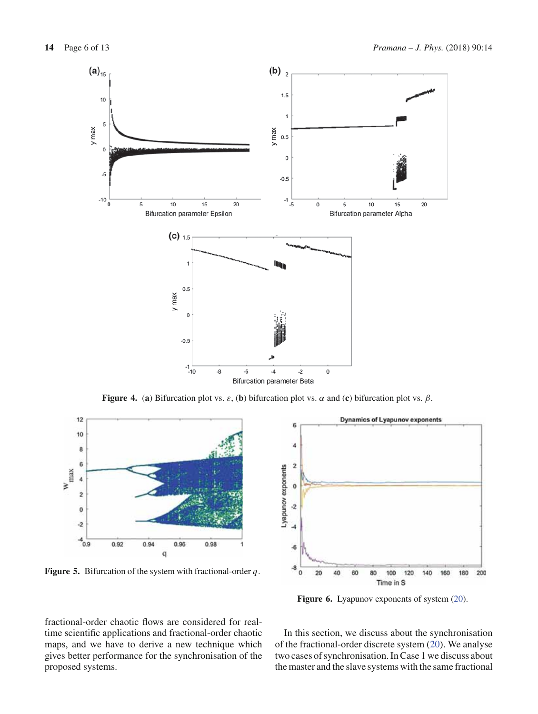

**Figure 4.** (**a**) Bifurcation plot vs. ε, (**b**) bifurcation plot vs. α and (**c**) bifurcation plot vs. β.



**Figure 5.** Bifurcation of the system with fractional-order *q*.



**Figure 6.** Lyapunov exponents of system (20).

fractional-order chaotic flows are considered for realtime scientific applications and fractional-order chaotic maps, and we have to derive a new technique which gives better performance for the synchronisation of the proposed systems.

In this section, we discuss about the synchronisation of the fractional-order discrete system (20). We analyse two cases of synchronisation. In Case 1 we discuss about the master and the slave systems with the same fractional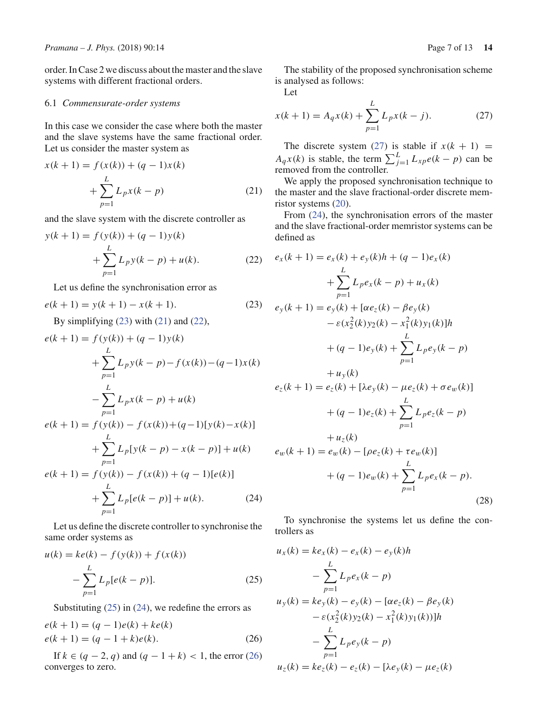order. In Case 2 we discuss about the master and the slave systems with different fractional orders.

### 6.1 *Commensurate-order systems*

In this case we consider the case where both the master and the slave systems have the same fractional order. Let us consider the master system as

$$
x(k + 1) = f(x(k)) + (q - 1)x(k)
$$
  
+ 
$$
\sum_{p=1}^{L} L_p x(k - p)
$$
 (21)

and the slave system with the discrete controller as

$$
y(k + 1) = f(y(k)) + (q - 1)y(k)
$$
  
+ 
$$
\sum_{p=1}^{L} L_p y(k - p) + u(k).
$$
 (22)

Let us define the synchronisation error as

$$
e(k + 1) = y(k + 1) - x(k + 1).
$$
 (23)

By simplifying  $(23)$  with  $(21)$  and  $(22)$ ,

$$
e(k + 1) = f(y(k)) + (q - 1)y(k)
$$
  
+ 
$$
\sum_{p=1}^{L} L_p y(k - p) - f(x(k)) - (q - 1)x(k)
$$
  
- 
$$
\sum_{p=1}^{L} L_p x(k - p) + u(k)
$$
  

$$
e(k + 1) = f(y(k)) - f(x(k)) + (q - 1)[y(k) - x(k)]
$$
  
+ 
$$
\sum_{p=1}^{L} L_p[y(k - p) - x(k - p)] + u(k)
$$
  

$$
e(k + 1) = f(y(k)) - f(x(k)) + (q - 1)[e(k)]
$$
  
+ 
$$
\sum_{p=1}^{L} L_p[e(k - p)] + u(k).
$$
 (24)

Let us define the discrete controller to synchronise the same order systems as

*p*=1

$$
u(k) = ke(k) - f(y(k)) + f(x(k))
$$
  

$$
- \sum_{p=1}^{L} L_p[e(k-p)].
$$
 (25)

Substituting  $(25)$  in  $(24)$ , we redefine the errors as

$$
e(k + 1) = (q - 1)e(k) + ke(k)
$$
  

$$
e(k + 1) = (q - 1 + k)e(k).
$$
 (26)

If *k* ∈ (*q* − 2, *q*) and (*q* − 1 + *k*) < 1, the error (26) converges to zero.

The stability of the proposed synchronisation scheme is analysed as follows:

Let

$$
x(k+1) = A_q x(k) + \sum_{p=1}^{L} L_p x(k-j).
$$
 (27)

The discrete system (27) is stable if  $x(k + 1) =$ *A<sub>q</sub>x*(*k*) is stable, the term  $\sum_{j=1}^{L} L_{xp}e(k-p)$  can be removed from the controller.

We apply the proposed synchronisation technique to the master and the slave fractional-order discrete memristor systems (20).

From (24), the synchronisation errors of the master and the slave fractional-order memristor systems can be defined as

$$
e_x(k + 1) = e_x(k) + e_y(k)h + (q - 1)e_x(k)
$$
  
+  $\sum_{p=1}^{L} L_p e_x(k - p) + u_x(k)$   

$$
e_y(k + 1) = e_y(k) + [\alpha e_z(k) - \beta e_y(k)
$$
  

$$
- \varepsilon (x_2^2(k)y_2(k) - x_1^2(k)y_1(k)]h
$$
  
+  $(q - 1)e_y(k) + \sum_{p=1}^{L} L_p e_y(k - p)$   
+  $u_y(k)$   

$$
e_z(k + 1) = e_z(k) + [\lambda e_y(k) - \mu e_z(k) + \sigma e_w(k)]
$$
  
+  $(q - 1)e_z(k) + \sum_{p=1}^{L} L_p e_z(k - p)$   
+  $u_z(k)$   

$$
e_w(k + 1) = e_w(k) - [\rho e_z(k) + \tau e_w(k)]
$$
  
+  $(q - 1)e_w(k) + \sum_{p=1}^{L} L_p e_x(k - p).$  (28)

To synchronise the systems let us define the controllers as

$$
u_x(k) = ke_x(k) - e_x(k) - e_y(k)h
$$
  
\n
$$
- \sum_{p=1}^{L} L_p e_x(k-p)
$$
  
\n
$$
u_y(k) = ke_y(k) - e_y(k) - [\alpha e_z(k) - \beta e_y(k) - \varepsilon (x_2^2(k)y_2(k) - x_1^2(k)y_1(k))]h
$$
  
\n
$$
- \sum_{p=1}^{L} L_p e_y(k-p)
$$
  
\n
$$
u_z(k) = ke_z(k) - e_z(k) - [\lambda e_y(k) - \mu e_z(k)]
$$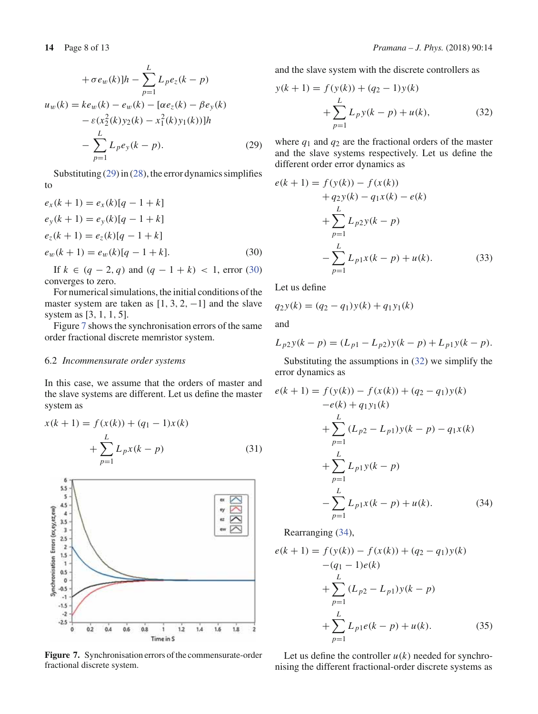$$
+ \sigma e_w(k) \Big| h - \sum_{p=1}^{L} L_p e_z(k - p)
$$
  

$$
u_w(k) = k e_w(k) - e_w(k) - [\alpha e_z(k) - \beta e_y(k)
$$
  

$$
- \varepsilon (x_2^2(k) y_2(k) - x_1^2(k) y_1(k)) ]h
$$
  

$$
- \sum_{p=1}^{L} L_p e_y(k - p).
$$
 (29)

Substituting  $(29)$  in  $(28)$ , the error dynamics simplifies to

$$
e_x(k + 1) = e_x(k)[q - 1 + k]
$$
  
\n
$$
e_y(k + 1) = e_y(k)[q - 1 + k]
$$
  
\n
$$
e_z(k + 1) = e_z(k)[q - 1 + k]
$$
  
\n
$$
e_w(k + 1) = e_w(k)[q - 1 + k].
$$
\n(30)

If *k* ∈  $(q - 2, q)$  and  $(q - 1 + k)$  < 1, error (30) converges to zero.

For numerical simulations, the initial conditions of the master system are taken as  $[1, 3, 2, -1]$  and the slave system as [3, 1, 1, 5].

Figure 7 shows the synchronisation errors of the same order fractional discrete memristor system.

## 6.2 *Incommensurate order systems*

In this case, we assume that the orders of master and the slave systems are different. Let us define the master system as

$$
x(k + 1) = f(x(k)) + (q_1 - 1)x(k)
$$
  
+ 
$$
\sum_{p=1}^{L} L_p x(k - p)
$$
 (31)



**Figure 7.** Synchronisation errors of the commensurate-order fractional discrete system.

and the slave system with the discrete controllers as

$$
y(k + 1) = f(y(k)) + (q_2 - 1)y(k)
$$
  
+ 
$$
\sum_{p=1}^{L} L_p y(k - p) + u(k),
$$
 (32)

where  $q_1$  and  $q_2$  are the fractional orders of the master and the slave systems respectively. Let us define the different order error dynamics as

$$
e(k + 1) = f(y(k)) - f(x(k))
$$
  
+ q<sub>2</sub>y(k) - q<sub>1</sub>x(k) - e(k)  
+ 
$$
\sum_{p=1}^{L} L_{p2}y(k - p)
$$
  
- 
$$
\sum_{p=1}^{L} L_{p1}x(k - p) + u(k).
$$
 (33)

Let us define

$$
q_2y(k) = (q_2 - q_1)y(k) + q_1y_1(k)
$$

and

$$
L_{p2}y(k-p) = (L_{p1} - L_{p2})y(k-p) + L_{p1}y(k-p).
$$

Substituting the assumptions in (32) we simplify the error dynamics as

$$
e(k + 1) = f(y(k)) - f(x(k)) + (q_2 - q_1)y(k)
$$
  
\n
$$
-e(k) + q_1y_1(k)
$$
  
\n
$$
+ \sum_{p=1}^{L} (L_{p2} - L_{p1})y(k - p) - q_1x(k)
$$
  
\n
$$
+ \sum_{p=1}^{L} L_{p1}y(k - p)
$$
  
\n
$$
- \sum_{p=1}^{L} L_{p1}x(k - p) + u(k).
$$
 (34)

Rearranging (34),

$$
e(k + 1) = f(y(k)) - f(x(k)) + (q_2 - q_1)y(k)
$$
  
\n
$$
-(q_1 - 1)e(k)
$$
  
\n
$$
+ \sum_{p=1}^{L} (L_{p2} - L_{p1})y(k - p)
$$
  
\n
$$
+ \sum_{p=1}^{L} L_{p1}e(k - p) + u(k).
$$
 (35)

Let us define the controller  $u(k)$  needed for synchronising the different fractional-order discrete systems as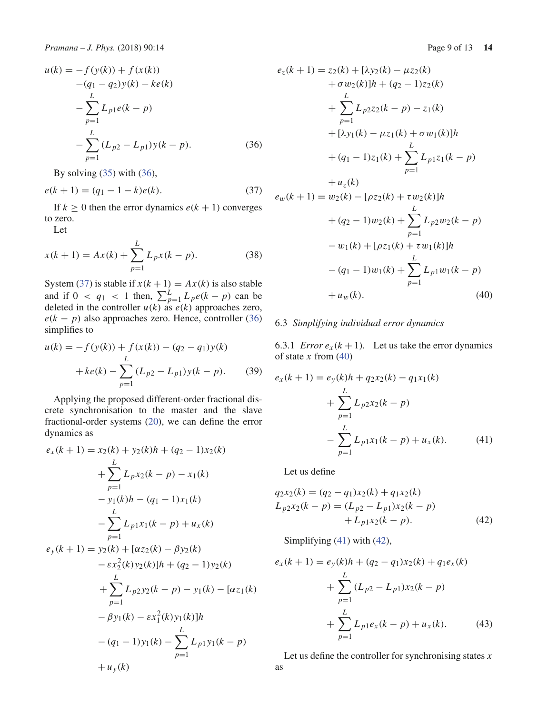$$
u(k) = -f(y(k)) + f(x(k))
$$
  
\n
$$
-(q_1 - q_2)y(k) - ke(k)
$$
  
\n
$$
-\sum_{p=1}^{L} L_{p1}e(k - p)
$$
  
\n
$$
-\sum_{p=1}^{L} (L_{p2} - L_{p1})y(k - p).
$$
 (36)

By solving  $(35)$  with  $(36)$ ,

$$
e(k + 1) = (q_1 - 1 - k)e(k).
$$
 (37)

If  $k \geq 0$  then the error dynamics  $e(k + 1)$  converges to zero.

Let

$$
x(k+1) = Ax(k) + \sum_{p=1}^{L} L_p x(k-p).
$$
 (38)

System (37) is stable if  $x(k + 1) = Ax(k)$  is also stable and if  $0 < q_1 < 1$  then,  $\sum_{p=1}^{L} L_p e(k - p)$  can be deleted in the controller  $u(k)$  as  $e(k)$  approaches zero,  $e(k - p)$  also approaches zero. Hence, controller (36) simplifies to

$$
u(k) = -f(y(k)) + f(x(k)) - (q_2 - q_1)y(k)
$$
  
+
$$
ke(k) - \sum_{p=1}^{L} (L_{p2} - L_{p1})y(k - p).
$$
 (39)

Applying the proposed different-order fractional discrete synchronisation to the master and the slave fractional-order systems (20), we can define the error dynamics as

$$
e_x(k + 1) = x_2(k) + y_2(k)h + (q_2 - 1)x_2(k)
$$
  
+ 
$$
\sum_{p=1}^{L} L_p x_2(k - p) - x_1(k)
$$
  
- 
$$
y_1(k)h - (q_1 - 1)x_1(k)
$$
  
- 
$$
\sum_{p=1}^{L} L_p x_1(k - p) + u_x(k)
$$
  

$$
e_y(k + 1) = y_2(k) + [\alpha z_2(k) - \beta y_2(k)
$$
  
- 
$$
\varepsilon x_2^2(k)y_2(k)]h + (q_2 - 1)y_2(k)
$$
  
+ 
$$
\sum_{p=1}^{L} L_p y_2(k - p) - y_1(k) - [\alpha z_1(k)
$$
  
- 
$$
\beta y_1(k) - \varepsilon x_1^2(k)y_1(k)]h
$$
  
- 
$$
(q_1 - 1)y_1(k) - \sum_{p=1}^{L} L_p y_1(k - p)
$$
  
+ 
$$
u_y(k)
$$

$$
e_{z}(k + 1) = z_{2}(k) + [\lambda y_{2}(k) - \mu z_{2}(k)
$$
  
+  $\sigma w_{2}(k) \Big| h + (q_{2} - 1) z_{2}(k)$   
+  $\sum_{p=1}^{L} L_{p2} z_{2}(k - p) - z_{1}(k)$   
+  $[\lambda y_{1}(k) - \mu z_{1}(k) + \sigma w_{1}(k)]h$   
+  $(q_{1} - 1) z_{1}(k) + \sum_{p=1}^{L} L_{p1} z_{1}(k - p)$   
+  $u_{z}(k)$   
 $e_{w}(k + 1) = w_{2}(k) - [\sigma z_{2}(k) + \tau w_{2}(k)]h$ 

$$
e_w(k+1) = w_2(k) - [\rho z_2(k) + \tau w_2(k)]h
$$
  
+  $(q_2 - 1)w_2(k) + \sum_{p=1}^{L} L_{p2}w_2(k - p)$   
-  $w_1(k) + [\rho z_1(k) + \tau w_1(k)]h$   
-  $(q_1 - 1)w_1(k) + \sum_{p=1}^{L} L_{p1}w_1(k - p)$   
+  $u_w(k)$ . (40)

#### 6.3 *Simplifying individual error dynamics*

6.3.1 *Error*  $e_x(k+1)$ . Let us take the error dynamics of state *x* from (40)

$$
e_x(k+1) = e_y(k)h + q_2x_2(k) - q_1x_1(k)
$$
  
+ 
$$
\sum_{p=1}^{L} L_{p2}x_2(k-p)
$$
  
- 
$$
\sum_{p=1}^{L} L_{p1}x_1(k-p) + u_x(k).
$$
 (41)

Let us define

$$
q_2x_2(k) = (q_2 - q_1)x_2(k) + q_1x_2(k)
$$
  
\n
$$
L_{p2}x_2(k - p) = (L_{p2} - L_{p1})x_2(k - p)
$$
  
\n
$$
+ L_{p1}x_2(k - p).
$$
\n(42)

Simplifying (41) with (42),

$$
e_x(k+1) = e_y(k)h + (q_2 - q_1)x_2(k) + q_1e_x(k)
$$
  
+ 
$$
\sum_{p=1}^{L} (L_{p2} - L_{p1})x_2(k-p)
$$
  
+ 
$$
\sum_{p=1}^{L} L_{p1}e_x(k-p) + u_x(k).
$$
 (43)

Let us define the controller for synchronising states *x* as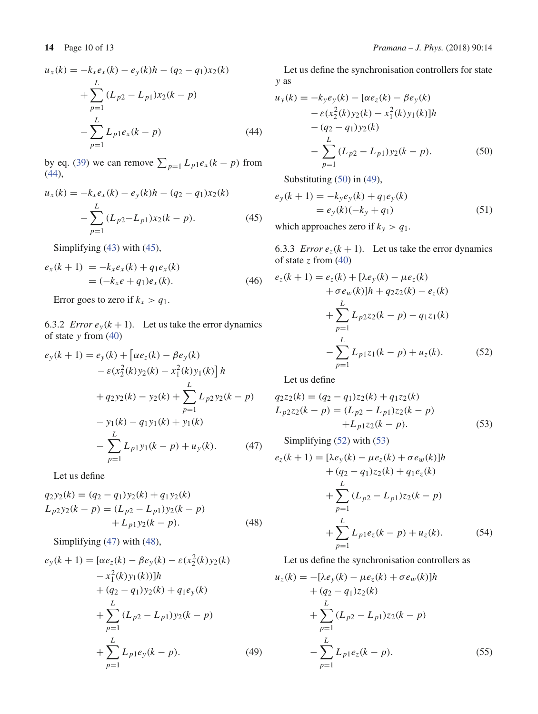$$
u_x(k) = -k_x e_x(k) - e_y(k)h - (q_2 - q_1)x_2(k)
$$
  
+ 
$$
\sum_{p=1}^{L} (L_{p2} - L_{p1})x_2(k - p)
$$
  
- 
$$
\sum_{p=1}^{L} L_{p1}e_x(k - p)
$$
(44)

by eq. (39) we can remove  $\sum_{p=1} L_p e_x(k-p)$  from (44),

$$
u_x(k) = -k_x e_x(k) - e_y(k)h - (q_2 - q_1)x_2(k)
$$

$$
- \sum_{p=1}^{L} (L_{p2} - L_{p1})x_2(k - p). \tag{45}
$$

Simplifying (43) with (45),

$$
e_x(k+1) = -k_x e_x(k) + q_1 e_x(k)
$$
  
= (-k\_x e + q\_1)e\_x(k). (46)

Error goes to zero if  $k_x > q_1$ .

6.3.2 *Error*  $e_y(k+1)$ . Let us take the error dynamics of state *y* from (40)

$$
e_{y}(k+1) = e_{y}(k) + [\alpha e_{z}(k) - \beta e_{y}(k)
$$
  
\n
$$
- \varepsilon (x_{2}^{2}(k)y_{2}(k) - x_{1}^{2}(k)y_{1}(k)] h
$$
  
\n
$$
+ q_{2}y_{2}(k) - y_{2}(k) + \sum_{p=1}^{L} L_{p2}y_{2}(k-p)
$$
  
\n
$$
- y_{1}(k) - q_{1}y_{1}(k) + y_{1}(k)
$$
  
\n
$$
- \sum_{p=1}^{L} L_{p1}y_{1}(k-p) + u_{y}(k).
$$
 (47)

Let us define

$$
q_2y_2(k) = (q_2 - q_1)y_2(k) + q_1y_2(k)
$$
  
\n
$$
L_{p2}y_2(k - p) = (L_{p2} - L_{p1})y_2(k - p)
$$
  
\n
$$
+ L_{p1}y_2(k - p).
$$
\n(48)

Simplifying (47) with (48),

$$
e_{y}(k+1) = [\alpha e_{z}(k) - \beta e_{y}(k) - \varepsilon (x_{2}^{2}(k)y_{2}(k) - x_{1}^{2}(k)y_{1}(k))]h
$$
  
+  $(q_{2} - q_{1})y_{2}(k) + q_{1}e_{y}(k)$   
+  $\sum_{p=1}^{L} (L_{p2} - L_{p1})y_{2}(k - p)$   
+  $\sum_{p=1}^{L} L_{p1}e_{y}(k - p).$  (49)

Let us define the synchronisation controllers for state *y* as

$$
u_y(k) = -k_y e_y(k) - [\alpha e_z(k) - \beta e_y(k)
$$
  
\t
$$
- \varepsilon (x_2^2(k)y_2(k) - x_1^2(k)y_1(k)]h
$$
  
\t
$$
- (q_2 - q_1)y_2(k)
$$
  
\t
$$
- \sum_{p=1}^{L} (L_{p2} - L_{p1})y_2(k - p).
$$
 (50)

Substituting (50) in (49),

$$
e_y(k+1) = -k_y e_y(k) + q_1 e_y(k)
$$
  
=  $e_y(k)(-k_y + q_1)$  (51)

which approaches zero if  $k_y > q_1$ .

6.3.3 *Error*  $e_z(k + 1)$ *.* Let us take the error dynamics of state *z* from (40)

$$
e_{z}(k+1) = e_{z}(k) + [\lambda e_{y}(k) - \mu e_{z}(k) + \sigma e_{w}(k)]h + q_{2}z_{2}(k) - e_{z}(k) + \sum_{p=1}^{L} L_{p2}z_{2}(k-p) - q_{1}z_{1}(k) - \sum_{p=1}^{L} L_{p1}z_{1}(k-p) + u_{z}(k).
$$
 (52)

Let us define

$$
q_{2}z_{2}(k) = (q_{2} - q_{1})z_{2}(k) + q_{1}z_{2}(k)
$$
  
\n
$$
L_{p2}z_{2}(k-p) = (L_{p2} - L_{p1})z_{2}(k-p)
$$
  
\n
$$
+L_{p1}z_{2}(k-p).
$$
\n(53)

Simplifying (52) with (53)

$$
e_{z}(k+1) = [\lambda e_{y}(k) - \mu e_{z}(k) + \sigma e_{w}(k)]h
$$
  
+  $(q_{2} - q_{1})z_{2}(k) + q_{1}e_{z}(k)$   

$$
+ \sum_{p=1}^{L} (L_{p2} - L_{p1})z_{2}(k-p)
$$
  
+  $\sum_{p=1}^{L} L_{p1}e_{z}(k-p) + u_{z}(k).$  (54)

Let us define the synchronisation controllers as

$$
u_z(k) = -[\lambda e_y(k) - \mu e_z(k) + \sigma e_w(k)]h
$$
  
+  $(q_2 - q_1)z_2(k)$   

$$
+ \sum_{p=1}^{L} (L_{p2} - L_{p1})z_2(k - p)
$$
  
-  $\sum_{p=1}^{L} L_{p1}e_z(k - p).$  (55)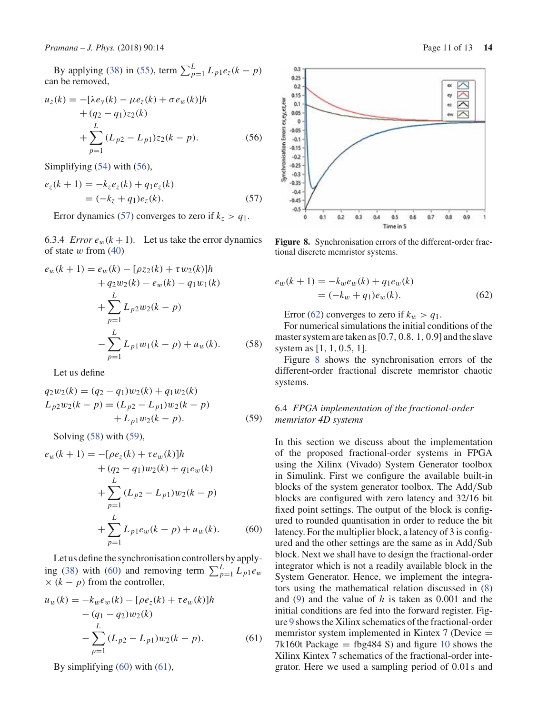By applying (38) in (55), term  $\sum_{p=1}^{L} L_{p1}e_{z}(k-p)$ can be removed,

$$
u_z(k) = -[\lambda e_y(k) - \mu e_z(k) + \sigma e_w(k)]h
$$
  
+  $(q_2 - q_1)z_2(k)$   

$$
+ \sum_{p=1}^{L} (L_{p2} - L_{p1})z_2(k - p).
$$
 (56)

Simplifying (54) with (56),

$$
e_z(k + 1) = -k_z e_z(k) + q_1 e_z(k)
$$
  
= (-k<sub>z</sub> + q<sub>1</sub>)e<sub>z</sub>(k). (57)

Error dynamics (57) converges to zero if  $k_z > q_1$ .

6.3.4 *Error*  $e_w(k+1)$ . Let us take the error dynamics of state  $w$  from  $(40)$ 

$$
e_w(k + 1) = e_w(k) - [\rho z_2(k) + \tau w_2(k)]h
$$
  
+  $q_2w_2(k) - e_w(k) - q_1w_1(k)$   
+  $\sum_{p=1}^{L} L_{p2}w_2(k - p)$   
-  $\sum_{p=1}^{L} L_{p1}w_1(k - p) + u_w(k)$ . (58)

Let us define

$$
q_2w_2(k) = (q_2 - q_1)w_2(k) + q_1w_2(k)
$$
  
\n
$$
L_{p2}w_2(k - p) = (L_{p2} - L_{p1})w_2(k - p)
$$
  
\n
$$
+ L_{p1}w_2(k - p).
$$
 (59)

Solving (58) with (59),

$$
e_w(k + 1) = -[\rho e_z(k) + \tau e_w(k)]h
$$
  
+  $(q_2 - q_1)w_2(k) + q_1 e_w(k)$   
+  $\sum_{p=1}^{L} (L_{p2} - L_{p1})w_2(k - p)$   
+  $\sum_{p=1}^{L} L_{p1}e_w(k - p) + u_w(k)$ . (60)

Let us define the synchronisation controllers by applying (38) with (60) and removing term  $\sum_{p=1}^{L} L_{p1}e_w$  $\times$  ( $k - p$ ) from the controller,

$$
u_w(k) = -k_w e_w(k) - [\rho e_z(k) + \tau e_w(k)]h
$$
  
 
$$
- (q_1 - q_2)w_2(k)
$$
  
 
$$
- \sum_{p=1}^{L} (L_{p2} - L_{p1})w_2(k - p).
$$
 (61)

By simplifying (60) with (61),



**Figure 8.** Synchronisation errors of the different-order fractional discrete memristor systems.

$$
e_w(k+1) = -k_w e_w(k) + q_1 e_w(k)
$$
  
=  $(-k_w + q_1)e_w(k)$ . (62)

Error (62) converges to zero if  $k_w > q_1$ .

For numerical simulations the initial conditions of the master system are taken as[0.7, 0.8, 1, 0.9] and the slave system as [1, 1, 0.5, 1].

Figure 8 shows the synchronisation errors of the different-order fractional discrete memristor chaotic systems.

# 6.4 *FPGA implementation of the fractional-order memristor 4D systems*

In this section we discuss about the implementation of the proposed fractional-order systems in FPGA using the Xilinx (Vivado) System Generator toolbox in Simulink. First we configure the available built-in blocks of the system generator toolbox. The Add/Sub blocks are configured with zero latency and 32/16 bit fixed point settings. The output of the block is configured to rounded quantisation in order to reduce the bit latency. For the multiplier block, a latency of 3 is configured and the other settings are the same as in Add/Sub block. Next we shall have to design the fractional-order integrator which is not a readily available block in the System Generator. Hence, we implement the integrators using the mathematical relation discussed in (8) and (9) and the value of *h* is taken as 0.001 and the initial conditions are fed into the forward register. Figure 9 shows the Xilinx schematics of the fractional-order memristor system implemented in Kintex 7 (Device = 7k160t Package = fbg484 S) and figure 10 shows the Xilinx Kintex 7 schematics of the fractional-order integrator. Here we used a sampling period of 0.01 s and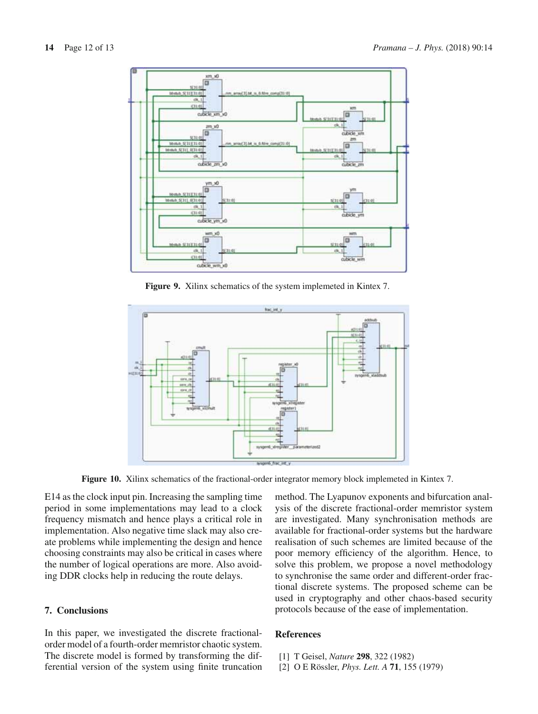

**Figure 9.** Xilinx schematics of the system implemeted in Kintex 7.



**Figure 10.** Xilinx schematics of the fractional-order integrator memory block implemeted in Kintex 7.

E14 as the clock input pin. Increasing the sampling time period in some implementations may lead to a clock frequency mismatch and hence plays a critical role in implementation. Also negative time slack may also create problems while implementing the design and hence choosing constraints may also be critical in cases where the number of logical operations are more. Also avoiding DDR clocks help in reducing the route delays.

# **7. Conclusions**

In this paper, we investigated the discrete fractionalorder model of a fourth-order memristor chaotic system. The discrete model is formed by transforming the differential version of the system using finite truncation method. The Lyapunov exponents and bifurcation analysis of the discrete fractional-order memristor system are investigated. Many synchronisation methods are available for fractional-order systems but the hardware realisation of such schemes are limited because of the poor memory efficiency of the algorithm. Hence, to solve this problem, we propose a novel methodology to synchronise the same order and different-order fractional discrete systems. The proposed scheme can be used in cryptography and other chaos-based security protocols because of the ease of implementation.

## **References**

- [1] T Geisel, *Nature* **298**, 322 (1982)
- [2] O E Rössler, *Phys. Lett. A* **71**, 155 (1979)